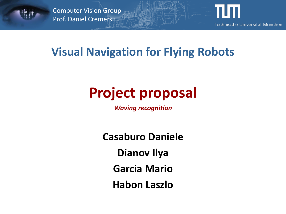

Computer Vision Group Prof. Daniel Cremers



#### **Visual Navigation for Flying Robots**

# **Project proposal**

*Waving recognition*

**Casaburo Daniele Dianov Ilya Garcia Mario Habon Laszlo**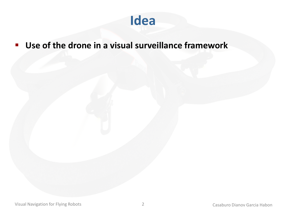

#### **Use of the drone in a visual surveillance framework**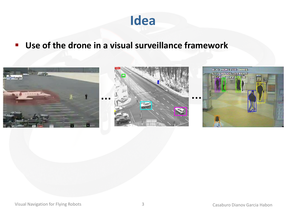

#### **Use of the drone in a visual surveillance framework**

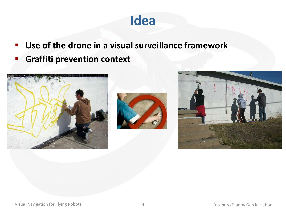#### **Idea**

- **Use of the drone in a visual surveillance framework**
- **Graffiti prevention context**





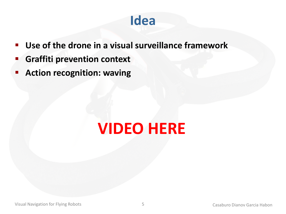#### **Idea**

- **Use of the drone in a visual surveillance framework**
- **Graffiti prevention context**
- **Action recognition: waving**

# **VIDEO HERE**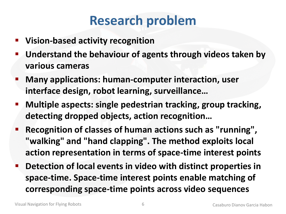## **Research problem**

- **Vision-based activity recognition**
- **Understand the behaviour of agents through videos taken by various cameras**
- **Many applications: human-computer interaction, user interface design, robot learning, surveillance…**
- **Multiple aspects: single pedestrian tracking, group tracking, detecting dropped objects, action recognition…**
- **Recognition of classes of human actions such as "running", "walking" and "hand clapping". The method exploits local action representation in terms of space-time interest points**
- **Detection of local events in video with distinct properties in space-time. Space-time interest points enable matching of corresponding space-time points across video sequences**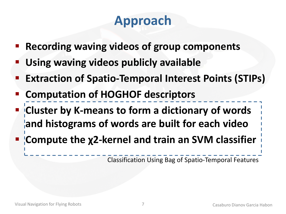# **Approach**

- **Recording waving videos of group components**
- **Using waving videos publicly available**
- **Extraction of Spatio-Temporal Interest Points (STIPs)**
- **Computation of HOGHOF descriptors**
- **Cluster by K-means to form a dictionary of words and histograms of words are built for each video**
- **Compute the χ2-kernel and train an SVM classifier**

Classification Using Bag of Spatio-Temporal Features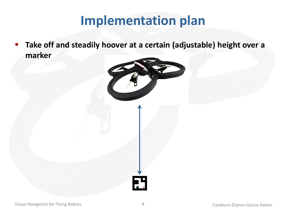**Take off and steadily hoover at a certain (adjustable) height over a marker**

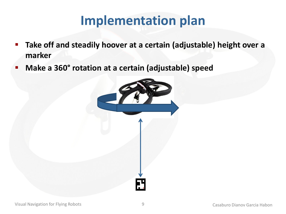- **Take off and steadily hoover at a certain (adjustable) height over a marker**
- **Make a 360° rotation at a certain (adjustable) speed**

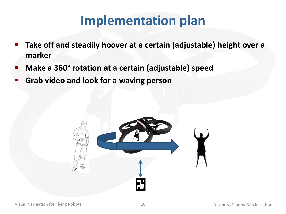- **Take off and steadily hoover at a certain (adjustable) height over a marker**
- **Make a 360° rotation at a certain (adjustable) speed**
- **Grab video and look for a waving person**